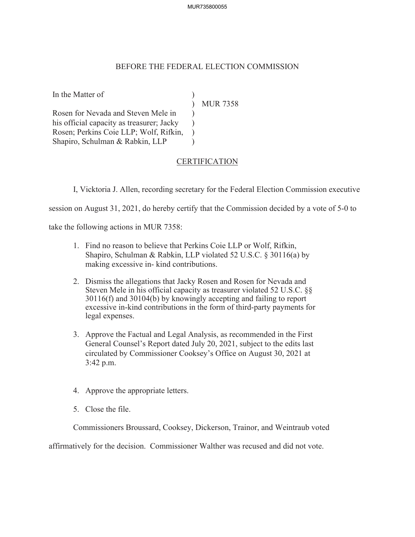## MUR735800055

## BEFORE THE FEDERAL ELECTION COMMISSION

 $\mathcal{L}$  $\mathcal{L}$ )  $\lambda$  $\lambda$ 

In the Matter of )

Rosen for Nevada and Steven Mele in his official capacity as treasurer; Jacky Rosen; Perkins Coie LLP; Wolf, Rifkin, Shapiro, Schulman & Rabkin, LLP

MUR 7358

## CERTIFICATION

I, Vicktoria J. Allen, recording secretary for the Federal Election Commission executive

session on August 31, 2021, do hereby certify that the Commission decided by a vote of 5-0 to

take the following actions in MUR 7358:

- 1. Find no reason to believe that Perkins Coie LLP or Wolf, Rifkin, Shapiro, Schulman & Rabkin, LLP violated 52 U.S.C. § 30116(a) by making excessive in- kind contributions.
- 2. Dismiss the allegations that Jacky Rosen and Rosen for Nevada and Steven Mele in his official capacity as treasurer violated 52 U.S.C. §§ 30116(f) and 30104(b) by knowingly accepting and failing to report excessive in-kind contributions in the form of third-party payments for legal expenses.
- 3. Approve the Factual and Legal Analysis, as recommended in the First General Counsel's Report dated July 20, 2021, subject to the edits last circulated by Commissioner Cooksey's Office on August 30, 2021 at 3:42 p.m.
- 4. Approve the appropriate letters.
- 5. Close the file.

Commissioners Broussard, Cooksey, Dickerson, Trainor, and Weintraub voted

affirmatively for the decision. Commissioner Walther was recused and did not vote.